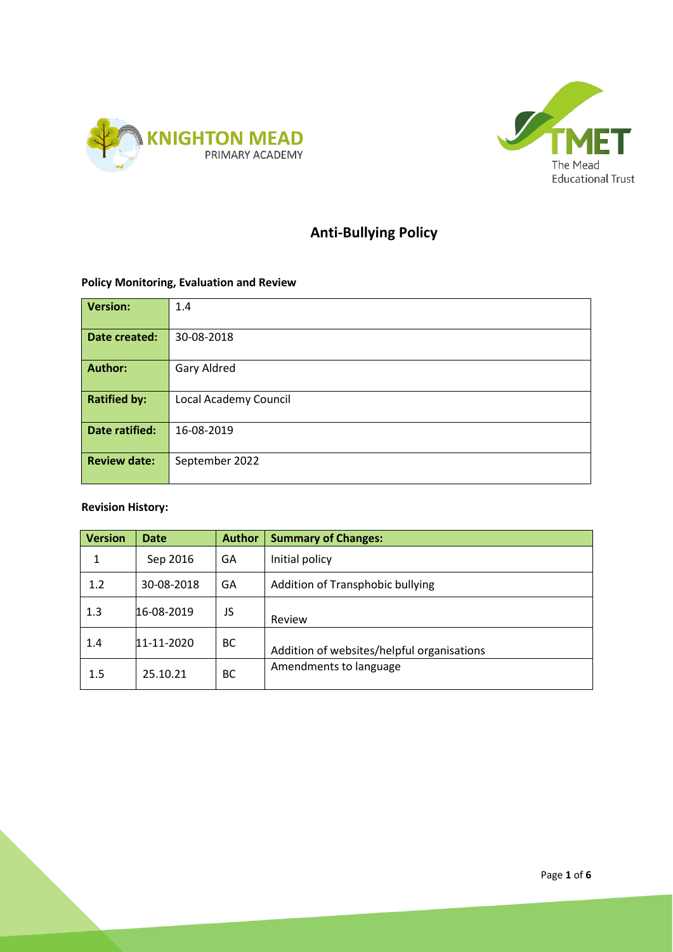



# **Anti-Bullying Policy**

# **Policy Monitoring, Evaluation and Review**

| <b>Version:</b>       | 1.4                   |
|-----------------------|-----------------------|
|                       |                       |
| Date created:         | 30-08-2018            |
|                       |                       |
| <b>Author:</b>        | Gary Aldred           |
|                       |                       |
| <b>Ratified by:</b>   | Local Academy Council |
|                       |                       |
| <b>Date ratified:</b> | 16-08-2019            |
|                       |                       |
| <b>Review date:</b>   | September 2022        |
|                       |                       |

# **Revision History:**

| <b>Version</b> | <b>Date</b> | <b>Author</b> | <b>Summary of Changes:</b>                 |
|----------------|-------------|---------------|--------------------------------------------|
| 1              | Sep 2016    | GA            | Initial policy                             |
| 1.2            | 30-08-2018  | GA            | Addition of Transphobic bullying           |
| 1.3            | 16-08-2019  | JS            | Review                                     |
| 1.4            | 11-11-2020  | ВC            | Addition of websites/helpful organisations |
| 1.5            | 25.10.21    | ВC            | Amendments to language                     |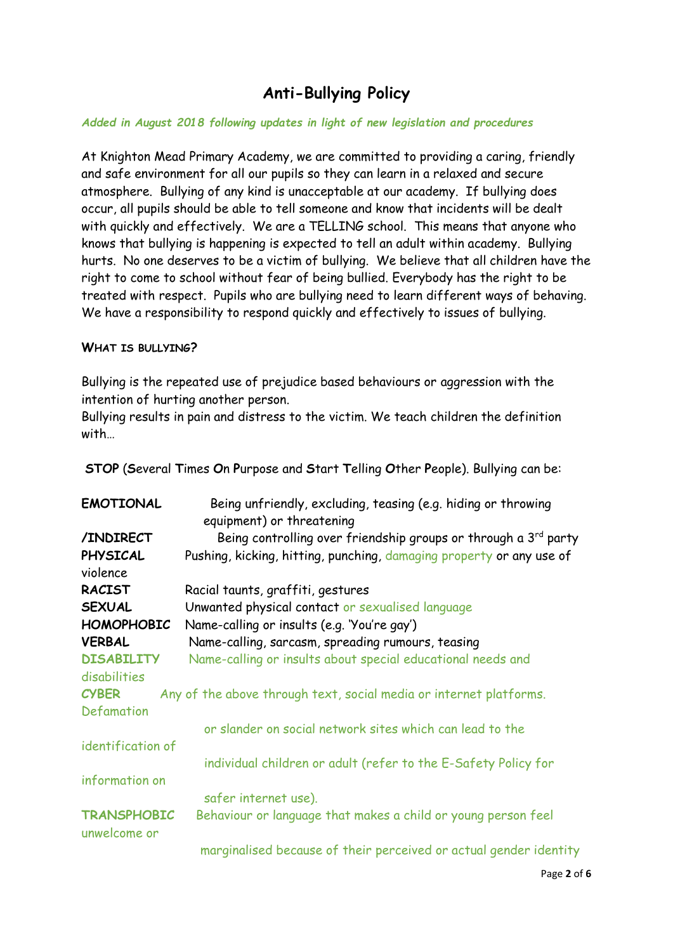# **Anti-Bullying Policy**

### *Added in August 2018 following updates in light of new legislation and procedures*

At Knighton Mead Primary Academy, we are committed to providing a caring, friendly and safe environment for all our pupils so they can learn in a relaxed and secure atmosphere. Bullying of any kind is unacceptable at our academy. If bullying does occur, all pupils should be able to tell someone and know that incidents will be dealt with quickly and effectively. We are a TELLING school. This means that anyone who knows that bullying is happening is expected to tell an adult within academy. Bullying hurts. No one deserves to be a victim of bullying. We believe that all children have the right to come to school without fear of being bullied. Everybody has the right to be treated with respect. Pupils who are bullying need to learn different ways of behaving. We have a responsibility to respond quickly and effectively to issues of bullying.

## **WHAT IS BULLYING?**

Bullying is the repeated use of prejudice based behaviours or aggression with the intention of hurting another person.

Bullying results in pain and distress to the victim. We teach children the definition with…

**STOP** (**S**everal **T**imes **O**n **P**urpose and **S**tart **T**elling **O**ther **P**eople). Bullying can be:

| <b>EMOTIONAL</b>                   | Being unfriendly, excluding, teasing (e.g. hiding or throwing               |  |  |
|------------------------------------|-----------------------------------------------------------------------------|--|--|
|                                    | equipment) or threatening                                                   |  |  |
| /INDIRECT                          | Being controlling over friendship groups or through a 3 <sup>rd</sup> party |  |  |
| <b>PHYSICAL</b>                    | Pushing, kicking, hitting, punching, damaging property or any use of        |  |  |
| violence                           |                                                                             |  |  |
| <b>RACIST</b>                      | Racial taunts, graffiti, gestures                                           |  |  |
| <b>SEXUAL</b>                      | Unwanted physical contact or sexualised language                            |  |  |
| <b>HOMOPHOBIC</b>                  | Name-calling or insults (e.g. 'You're gay')                                 |  |  |
| <b>VERBAL</b>                      | Name-calling, sarcasm, spreading rumours, teasing                           |  |  |
| <b>DISABILITY</b>                  | Name-calling or insults about special educational needs and                 |  |  |
| disabilities                       |                                                                             |  |  |
| <b>CYBER</b>                       | Any of the above through text, social media or internet platforms.          |  |  |
| Defamation                         |                                                                             |  |  |
|                                    | or slander on social network sites which can lead to the                    |  |  |
| identification of                  |                                                                             |  |  |
|                                    | individual children or adult (refer to the E-Safety Policy for              |  |  |
| information on                     |                                                                             |  |  |
|                                    | safer internet use).                                                        |  |  |
| <b>TRANSPHOBIC</b><br>unwelcome or | Behaviour or language that makes a child or young person feel               |  |  |
|                                    | marginalised because of their perceived or actual gender identity           |  |  |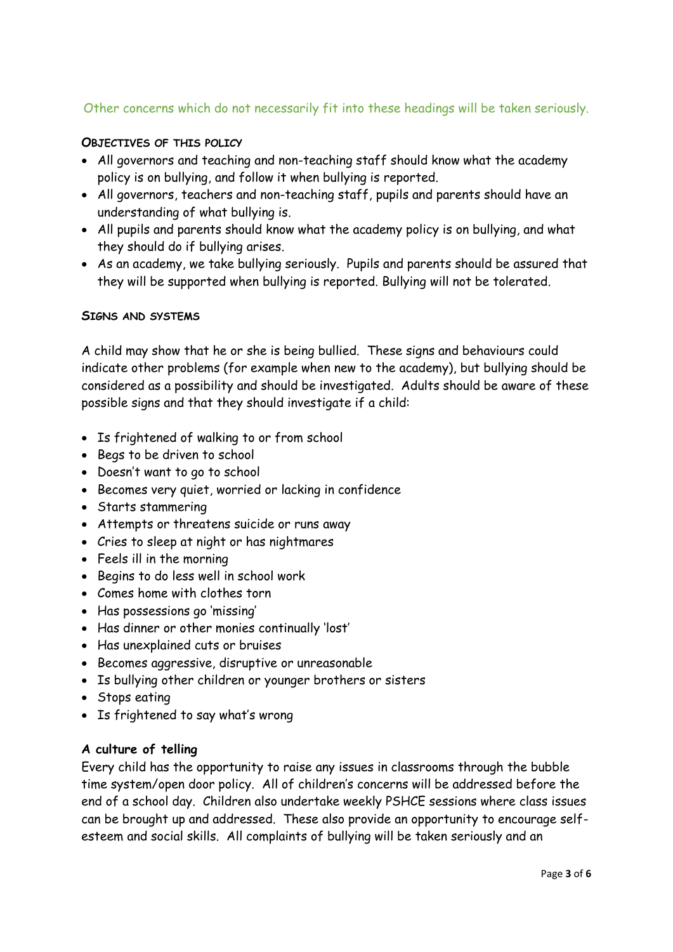# Other concerns which do not necessarily fit into these headings will be taken seriously.

### **OBJECTIVES OF THIS POLICY**

- All governors and teaching and non-teaching staff should know what the academy policy is on bullying, and follow it when bullying is reported.
- All governors, teachers and non-teaching staff, pupils and parents should have an understanding of what bullying is.
- All pupils and parents should know what the academy policy is on bullying, and what they should do if bullying arises.
- As an academy, we take bullying seriously. Pupils and parents should be assured that they will be supported when bullying is reported. Bullying will not be tolerated.

## **SIGNS AND SYSTEMS**

A child may show that he or she is being bullied. These signs and behaviours could indicate other problems (for example when new to the academy), but bullying should be considered as a possibility and should be investigated. Adults should be aware of these possible signs and that they should investigate if a child:

- Is frightened of walking to or from school
- Begs to be driven to school
- Doesn't want to go to school
- Becomes very quiet, worried or lacking in confidence
- Starts stammering
- Attempts or threatens suicide or runs away
- Cries to sleep at night or has nightmares
- Feels ill in the morning
- Begins to do less well in school work
- Comes home with clothes torn
- Has possessions go 'missing'
- Has dinner or other monies continually 'lost'
- Has unexplained cuts or bruises
- Becomes aggressive, disruptive or unreasonable
- Is bullying other children or younger brothers or sisters
- Stops eating
- Is frightened to say what's wrong

#### **A culture of telling**

Every child has the opportunity to raise any issues in classrooms through the bubble time system/open door policy. All of children's concerns will be addressed before the end of a school day. Children also undertake weekly PSHCE sessions where class issues can be brought up and addressed. These also provide an opportunity to encourage selfesteem and social skills. All complaints of bullying will be taken seriously and an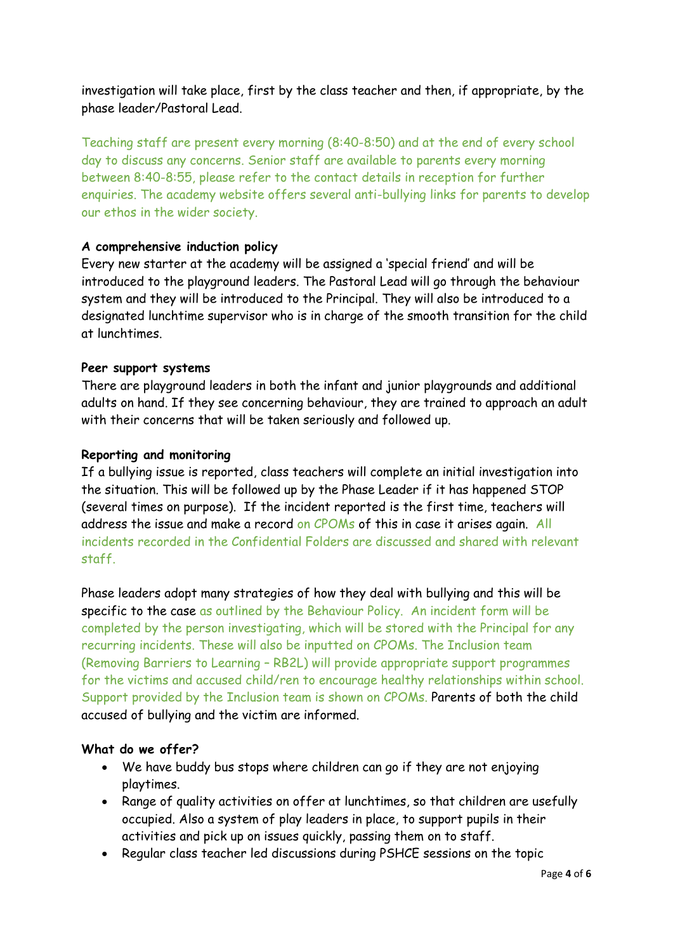investigation will take place, first by the class teacher and then, if appropriate, by the phase leader/Pastoral Lead.

Teaching staff are present every morning (8:40-8:50) and at the end of every school day to discuss any concerns. Senior staff are available to parents every morning between 8:40-8:55, please refer to the contact details in reception for further enquiries. The academy website offers several anti-bullying links for parents to develop our ethos in the wider society.

## **A comprehensive induction policy**

Every new starter at the academy will be assigned a 'special friend' and will be introduced to the playground leaders. The Pastoral Lead will go through the behaviour system and they will be introduced to the Principal. They will also be introduced to a designated lunchtime supervisor who is in charge of the smooth transition for the child at lunchtimes.

## **Peer support systems**

There are playground leaders in both the infant and junior playgrounds and additional adults on hand. If they see concerning behaviour, they are trained to approach an adult with their concerns that will be taken seriously and followed up.

## **Reporting and monitoring**

If a bullying issue is reported, class teachers will complete an initial investigation into the situation. This will be followed up by the Phase Leader if it has happened STOP (several times on purpose). If the incident reported is the first time, teachers will address the issue and make a record on CPOMs of this in case it arises again. All incidents recorded in the Confidential Folders are discussed and shared with relevant staff.

Phase leaders adopt many strategies of how they deal with bullying and this will be specific to the case as outlined by the Behaviour Policy. An incident form will be completed by the person investigating, which will be stored with the Principal for any recurring incidents. These will also be inputted on CPOMs. The Inclusion team (Removing Barriers to Learning – RB2L) will provide appropriate support programmes for the victims and accused child/ren to encourage healthy relationships within school. Support provided by the Inclusion team is shown on CPOMs. Parents of both the child accused of bullying and the victim are informed.

#### **What do we offer?**

- We have buddy bus stops where children can go if they are not enjoying playtimes.
- Range of quality activities on offer at lunchtimes, so that children are usefully occupied. Also a system of play leaders in place, to support pupils in their activities and pick up on issues quickly, passing them on to staff.
- Regular class teacher led discussions during PSHCE sessions on the topic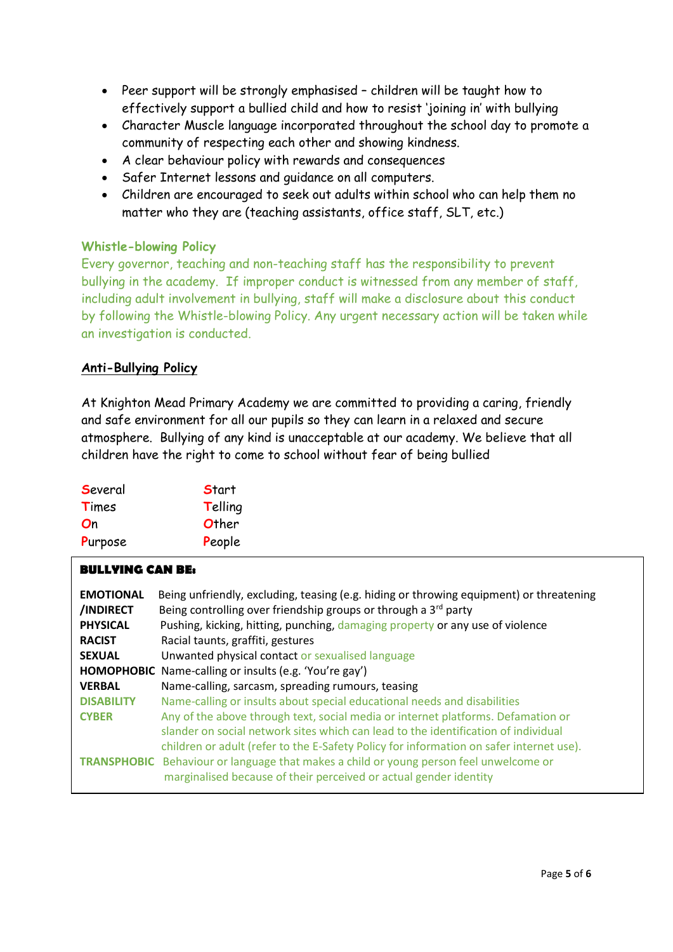- Peer support will be strongly emphasised children will be taught how to effectively support a bullied child and how to resist 'joining in' with bullying
- Character Muscle language incorporated throughout the school day to promote a community of respecting each other and showing kindness.
- A clear behaviour policy with rewards and consequences
- Safer Internet lessons and guidance on all computers.
- Children are encouraged to seek out adults within school who can help them no matter who they are (teaching assistants, office staff, SLT, etc.)

#### **Whistle-blowing Policy**

Every governor, teaching and non-teaching staff has the responsibility to prevent bullying in the academy. If improper conduct is witnessed from any member of staff, including adult involvement in bullying, staff will make a disclosure about this conduct by following the Whistle-blowing Policy. Any urgent necessary action will be taken while an investigation is conducted.

## **Anti-Bullying Policy**

At Knighton Mead Primary Academy we are committed to providing a caring, friendly and safe environment for all our pupils so they can learn in a relaxed and secure atmosphere. Bullying of any kind is unacceptable at our academy. We believe that all children have the right to come to school without fear of being bullied

| Several | <b>Start</b> |
|---------|--------------|
| Times   | Telling      |
| On      | Other        |
| Purpose | People       |

#### **BULLYING CAN BE:**

| <b>EMOTIONAL</b><br>/INDIRECT | Being unfriendly, excluding, teasing (e.g. hiding or throwing equipment) or threatening<br>Being controlling over friendship groups or through a 3 <sup>rd</sup> party |  |  |  |
|-------------------------------|------------------------------------------------------------------------------------------------------------------------------------------------------------------------|--|--|--|
| <b>PHYSICAL</b>               | Pushing, kicking, hitting, punching, damaging property or any use of violence                                                                                          |  |  |  |
| <b>RACIST</b>                 | Racial taunts, graffiti, gestures                                                                                                                                      |  |  |  |
| <b>SEXUAL</b>                 | Unwanted physical contact or sexualised language                                                                                                                       |  |  |  |
| <b>HOMOPHOBIC</b>             | Name-calling or insults (e.g. 'You're gay')                                                                                                                            |  |  |  |
| <b>VERBAL</b>                 | Name-calling, sarcasm, spreading rumours, teasing                                                                                                                      |  |  |  |
| <b>DISABILITY</b>             | Name-calling or insults about special educational needs and disabilities                                                                                               |  |  |  |
| <b>CYBER</b>                  | Any of the above through text, social media or internet platforms. Defamation or                                                                                       |  |  |  |
|                               | slander on social network sites which can lead to the identification of individual                                                                                     |  |  |  |
|                               | children or adult (refer to the E-Safety Policy for information on safer internet use).                                                                                |  |  |  |
|                               | <b>TRANSPHOBIC</b> Behaviour or language that makes a child or young person feel unwelcome or<br>marginalised because of their perceived or actual gender identity     |  |  |  |